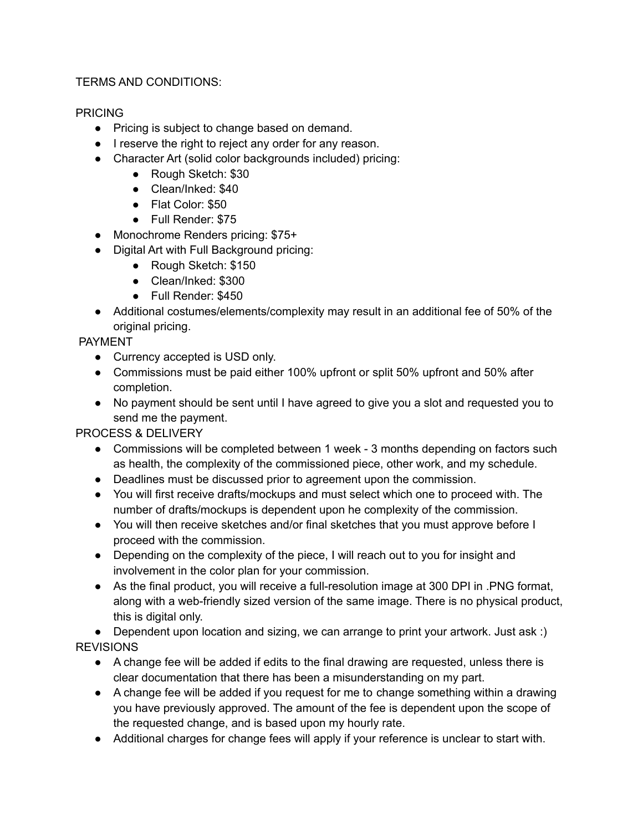## TERMS AND CONDITIONS:

## PRICING

- Pricing is subject to change based on demand.
- I reserve the right to reject any order for any reason.
- Character Art (solid color backgrounds included) pricing:
	- Rough Sketch: \$30
	- Clean/Inked: \$40
	- Flat Color: \$50
	- Full Render: \$75
- Monochrome Renders pricing: \$75+
- Digital Art with Full Background pricing:
	- Rough Sketch: \$150
	- Clean/Inked: \$300
	- Full Render: \$450
- Additional costumes/elements/complexity may result in an additional fee of 50% of the original pricing.

## PAYMENT

- Currency accepted is USD only.
- Commissions must be paid either 100% upfront or split 50% upfront and 50% after completion.
- No payment should be sent until I have agreed to give you a slot and requested you to send me the payment.

PROCESS & DELIVERY

- Commissions will be completed between 1 week 3 months depending on factors such as health, the complexity of the commissioned piece, other work, and my schedule.
- Deadlines must be discussed prior to agreement upon the commission.
- You will first receive drafts/mockups and must select which one to proceed with. The number of drafts/mockups is dependent upon he complexity of the commission.
- You will then receive sketches and/or final sketches that you must approve before I proceed with the commission.
- Depending on the complexity of the piece, I will reach out to you for insight and involvement in the color plan for your commission.
- As the final product, you will receive a full-resolution image at 300 DPI in .PNG format, along with a web-friendly sized version of the same image. There is no physical product, this is digital only.

• Dependent upon location and sizing, we can arrange to print your artwork. Just ask :) REVISIONS

- A change fee will be added if edits to the final drawing are requested, unless there is clear documentation that there has been a misunderstanding on my part.
- A change fee will be added if you request for me to change something within a drawing you have previously approved. The amount of the fee is dependent upon the scope of the requested change, and is based upon my hourly rate.
- Additional charges for change fees will apply if your reference is unclear to start with.